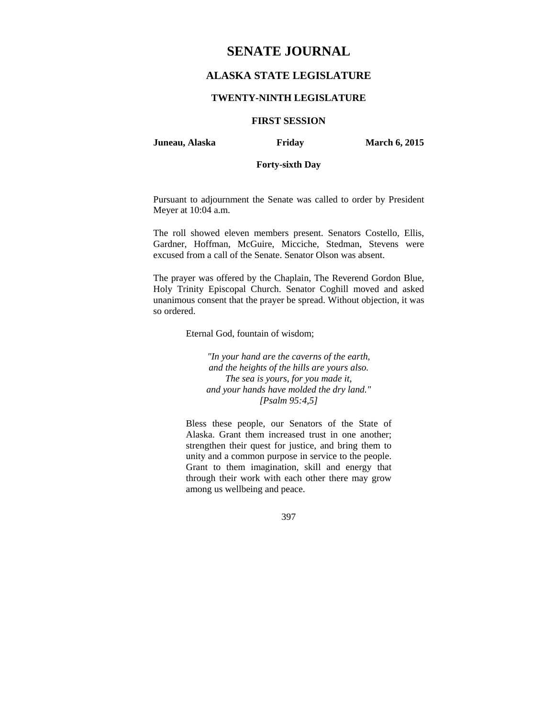# **SENATE JOURNAL**

## **ALASKA STATE LEGISLATURE**

#### **TWENTY-NINTH LEGISLATURE**

### **FIRST SESSION**

**Juneau, Alaska Friday March 6, 2015** 

### **Forty-sixth Day**

Pursuant to adjournment the Senate was called to order by President Meyer at 10:04 a.m.

The roll showed eleven members present. Senators Costello, Ellis, Gardner, Hoffman, McGuire, Micciche, Stedman, Stevens were excused from a call of the Senate. Senator Olson was absent.

The prayer was offered by the Chaplain, The Reverend Gordon Blue, Holy Trinity Episcopal Church. Senator Coghill moved and asked unanimous consent that the prayer be spread. Without objection, it was so ordered.

Eternal God, fountain of wisdom;

*"In your hand are the caverns of the earth, and the heights of the hills are yours also. The sea is yours, for you made it, and your hands have molded the dry land." [Psalm 95:4,5]* 

Bless these people, our Senators of the State of Alaska. Grant them increased trust in one another; strengthen their quest for justice, and bring them to unity and a common purpose in service to the people. Grant to them imagination, skill and energy that through their work with each other there may grow among us wellbeing and peace.

397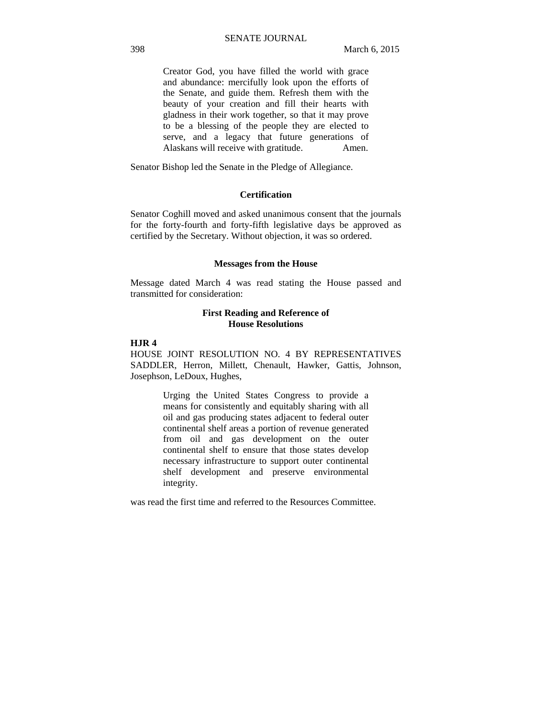Creator God, you have filled the world with grace and abundance: mercifully look upon the efforts of the Senate, and guide them. Refresh them with the beauty of your creation and fill their hearts with gladness in their work together, so that it may prove to be a blessing of the people they are elected to serve, and a legacy that future generations of Alaskans will receive with gratitude. Amen.

Senator Bishop led the Senate in the Pledge of Allegiance.

### **Certification**

Senator Coghill moved and asked unanimous consent that the journals for the forty-fourth and forty-fifth legislative days be approved as certified by the Secretary. Without objection, it was so ordered.

#### **Messages from the House**

Message dated March 4 was read stating the House passed and transmitted for consideration:

#### **First Reading and Reference of House Resolutions**

### **HJR 4**

HOUSE JOINT RESOLUTION NO. 4 BY REPRESENTATIVES SADDLER, Herron, Millett, Chenault, Hawker, Gattis, Johnson, Josephson, LeDoux, Hughes,

> Urging the United States Congress to provide a means for consistently and equitably sharing with all oil and gas producing states adjacent to federal outer continental shelf areas a portion of revenue generated from oil and gas development on the outer continental shelf to ensure that those states develop necessary infrastructure to support outer continental shelf development and preserve environmental integrity.

was read the first time and referred to the Resources Committee.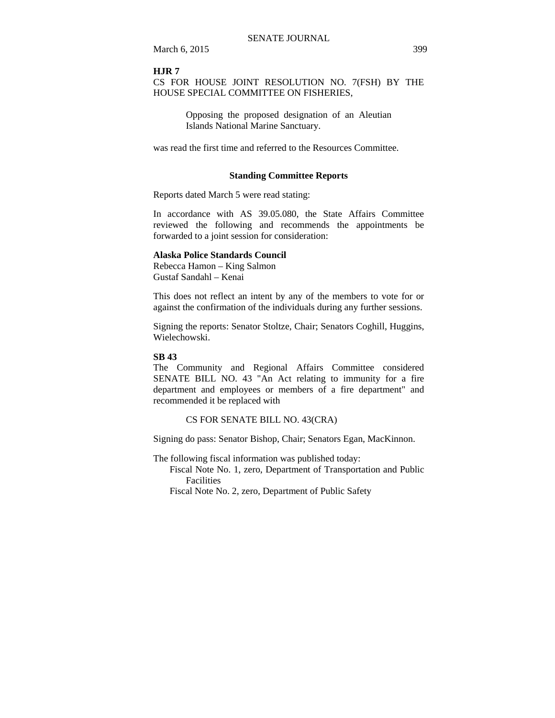March 6, 2015 399

#### **HJR 7**

### CS FOR HOUSE JOINT RESOLUTION NO. 7(FSH) BY THE HOUSE SPECIAL COMMITTEE ON FISHERIES,

Opposing the proposed designation of an Aleutian Islands National Marine Sanctuary.

was read the first time and referred to the Resources Committee.

#### **Standing Committee Reports**

Reports dated March 5 were read stating:

In accordance with AS 39.05.080, the State Affairs Committee reviewed the following and recommends the appointments be forwarded to a joint session for consideration:

### **Alaska Police Standards Council**

Rebecca Hamon – King Salmon Gustaf Sandahl – Kenai

This does not reflect an intent by any of the members to vote for or against the confirmation of the individuals during any further sessions.

Signing the reports: Senator Stoltze, Chair; Senators Coghill, Huggins, Wielechowski.

#### **SB 43**

The Community and Regional Affairs Committee considered SENATE BILL NO. 43 "An Act relating to immunity for a fire department and employees or members of a fire department" and recommended it be replaced with

CS FOR SENATE BILL NO. 43(CRA)

Signing do pass: Senator Bishop, Chair; Senators Egan, MacKinnon.

The following fiscal information was published today:

Fiscal Note No. 1, zero, Department of Transportation and Public Facilities

Fiscal Note No. 2, zero, Department of Public Safety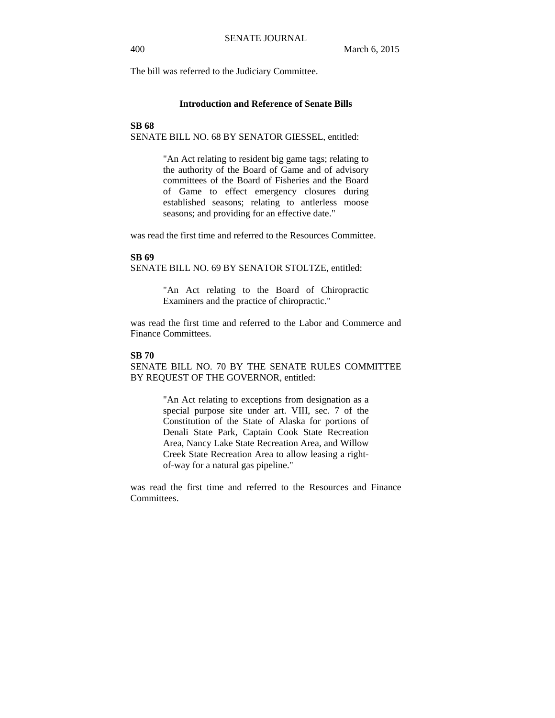The bill was referred to the Judiciary Committee.

### **Introduction and Reference of Senate Bills**

#### **SB 68**

SENATE BILL NO. 68 BY SENATOR GIESSEL, entitled:

"An Act relating to resident big game tags; relating to the authority of the Board of Game and of advisory committees of the Board of Fisheries and the Board of Game to effect emergency closures during established seasons; relating to antlerless moose seasons; and providing for an effective date."

was read the first time and referred to the Resources Committee.

### **SB 69**

SENATE BILL NO. 69 BY SENATOR STOLTZE, entitled:

"An Act relating to the Board of Chiropractic Examiners and the practice of chiropractic."

was read the first time and referred to the Labor and Commerce and Finance Committees.

#### **SB 70**

SENATE BILL NO. 70 BY THE SENATE RULES COMMITTEE BY REQUEST OF THE GOVERNOR, entitled:

> "An Act relating to exceptions from designation as a special purpose site under art. VIII, sec. 7 of the Constitution of the State of Alaska for portions of Denali State Park, Captain Cook State Recreation Area, Nancy Lake State Recreation Area, and Willow Creek State Recreation Area to allow leasing a rightof-way for a natural gas pipeline."

was read the first time and referred to the Resources and Finance Committees.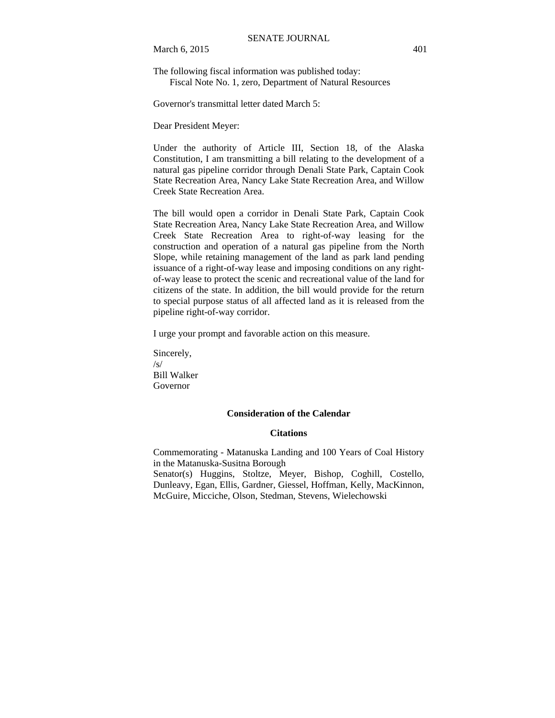March 6, 2015 401

The following fiscal information was published today: Fiscal Note No. 1, zero, Department of Natural Resources

Governor's transmittal letter dated March 5:

Dear President Meyer:

Under the authority of Article III, Section 18, of the Alaska Constitution, I am transmitting a bill relating to the development of a natural gas pipeline corridor through Denali State Park, Captain Cook State Recreation Area, Nancy Lake State Recreation Area, and Willow Creek State Recreation Area.

The bill would open a corridor in Denali State Park, Captain Cook State Recreation Area, Nancy Lake State Recreation Area, and Willow Creek State Recreation Area to right-of-way leasing for the construction and operation of a natural gas pipeline from the North Slope, while retaining management of the land as park land pending issuance of a right-of-way lease and imposing conditions on any rightof-way lease to protect the scenic and recreational value of the land for citizens of the state. In addition, the bill would provide for the return to special purpose status of all affected land as it is released from the pipeline right-of-way corridor.

I urge your prompt and favorable action on this measure.

Sincerely,  $\sqrt{s}$ Bill Walker Governor

### **Consideration of the Calendar**

#### **Citations**

Commemorating - Matanuska Landing and 100 Years of Coal History in the Matanuska-Susitna Borough

Senator(s) Huggins, Stoltze, Meyer, Bishop, Coghill, Costello, Dunleavy, Egan, Ellis, Gardner, Giessel, Hoffman, Kelly, MacKinnon, McGuire, Micciche, Olson, Stedman, Stevens, Wielechowski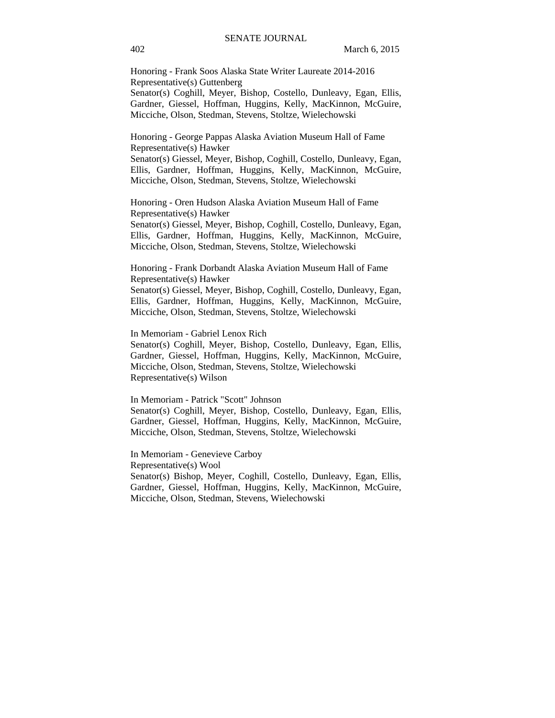Honoring - Frank Soos Alaska State Writer Laureate 2014-2016 Representative(s) Guttenberg Senator(s) Coghill, Meyer, Bishop, Costello, Dunleavy, Egan, Ellis, Gardner, Giessel, Hoffman, Huggins, Kelly, MacKinnon, McGuire, Micciche, Olson, Stedman, Stevens, Stoltze, Wielechowski

Honoring - George Pappas Alaska Aviation Museum Hall of Fame Representative(s) Hawker

Senator(s) Giessel, Meyer, Bishop, Coghill, Costello, Dunleavy, Egan, Ellis, Gardner, Hoffman, Huggins, Kelly, MacKinnon, McGuire, Micciche, Olson, Stedman, Stevens, Stoltze, Wielechowski

Honoring - Oren Hudson Alaska Aviation Museum Hall of Fame Representative(s) Hawker Senator(s) Giessel, Meyer, Bishop, Coghill, Costello, Dunleavy, Egan,

Ellis, Gardner, Hoffman, Huggins, Kelly, MacKinnon, McGuire, Micciche, Olson, Stedman, Stevens, Stoltze, Wielechowski

Honoring - Frank Dorbandt Alaska Aviation Museum Hall of Fame Representative(s) Hawker

Senator(s) Giessel, Meyer, Bishop, Coghill, Costello, Dunleavy, Egan, Ellis, Gardner, Hoffman, Huggins, Kelly, MacKinnon, McGuire, Micciche, Olson, Stedman, Stevens, Stoltze, Wielechowski

In Memoriam - Gabriel Lenox Rich

Senator(s) Coghill, Meyer, Bishop, Costello, Dunleavy, Egan, Ellis, Gardner, Giessel, Hoffman, Huggins, Kelly, MacKinnon, McGuire, Micciche, Olson, Stedman, Stevens, Stoltze, Wielechowski Representative(s) Wilson

In Memoriam - Patrick "Scott" Johnson Senator(s) Coghill, Meyer, Bishop, Costello, Dunleavy, Egan, Ellis, Gardner, Giessel, Hoffman, Huggins, Kelly, MacKinnon, McGuire, Micciche, Olson, Stedman, Stevens, Stoltze, Wielechowski

In Memoriam - Genevieve Carboy Representative(s) Wool Senator(s) Bishop, Meyer, Coghill, Costello, Dunleavy, Egan, Ellis, Gardner, Giessel, Hoffman, Huggins, Kelly, MacKinnon, McGuire, Micciche, Olson, Stedman, Stevens, Wielechowski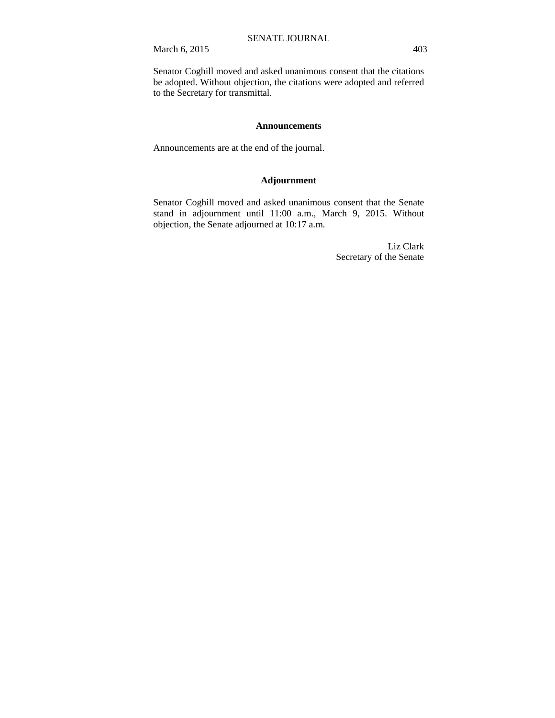March 6, 2015 403

Senator Coghill moved and asked unanimous consent that the citations be adopted. Without objection, the citations were adopted and referred to the Secretary for transmittal.

#### **Announcements**

Announcements are at the end of the journal.

### **Adjournment**

Senator Coghill moved and asked unanimous consent that the Senate stand in adjournment until 11:00 a.m., March 9, 2015. Without objection, the Senate adjourned at 10:17 a.m.

> Liz Clark Secretary of the Senate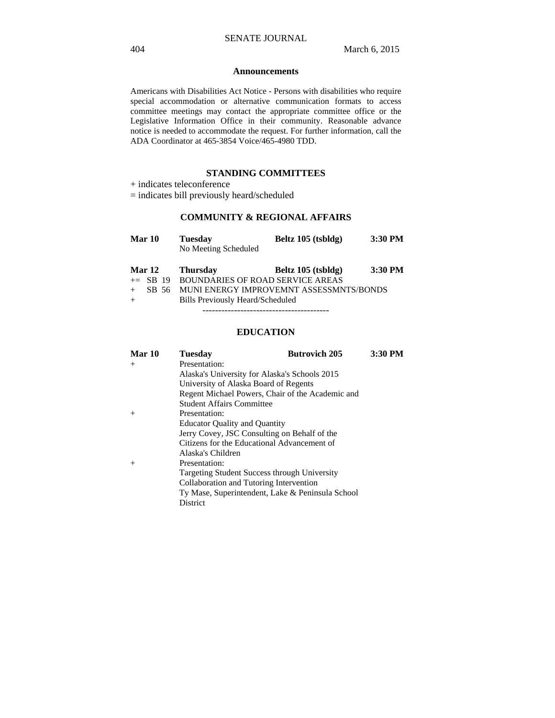#### **Announcements**

Americans with Disabilities Act Notice - Persons with disabilities who require special accommodation or alternative communication formats to access committee meetings may contact the appropriate committee office or the Legislative Information Office in their community. Reasonable advance notice is needed to accommodate the request. For further information, call the ADA Coordinator at 465-3854 Voice/465-4980 TDD.

### **STANDING COMMITTEES**

+ indicates teleconference

= indicates bill previously heard/scheduled

### **COMMUNITY & REGIONAL AFFAIRS**

| Mar 10        | <b>Tuesday</b>                          | Beltz 105 (tsbldg) | 3:30 PM |
|---------------|-----------------------------------------|--------------------|---------|
|               | No Meeting Scheduled                    |                    |         |
| <b>Mar 12</b> | <b>Thursday</b>                         | Beltz 105 (tsbldg) | 3:30 PM |
| $\pm$ SB 19   | <b>BOUNDARIES OF ROAD SERVICE AREAS</b> |                    |         |
| SB 56         | MUNI ENERGY IMPROVEMNT ASSESSMNTS/BONDS |                    |         |
| $+$           | Bills Previously Heard/Scheduled        |                    |         |
|               |                                         |                    |         |

### **EDUCATION**

| <b>Tuesday</b>                   | <b>Butrovich 205</b> | 3:30 PM                                                                                                                                                                                                                                                                                                                                                                                                                                 |
|----------------------------------|----------------------|-----------------------------------------------------------------------------------------------------------------------------------------------------------------------------------------------------------------------------------------------------------------------------------------------------------------------------------------------------------------------------------------------------------------------------------------|
| Presentation:                    |                      |                                                                                                                                                                                                                                                                                                                                                                                                                                         |
|                                  |                      |                                                                                                                                                                                                                                                                                                                                                                                                                                         |
|                                  |                      |                                                                                                                                                                                                                                                                                                                                                                                                                                         |
|                                  |                      |                                                                                                                                                                                                                                                                                                                                                                                                                                         |
| <b>Student Affairs Committee</b> |                      |                                                                                                                                                                                                                                                                                                                                                                                                                                         |
| Presentation:                    |                      |                                                                                                                                                                                                                                                                                                                                                                                                                                         |
|                                  |                      |                                                                                                                                                                                                                                                                                                                                                                                                                                         |
|                                  |                      |                                                                                                                                                                                                                                                                                                                                                                                                                                         |
|                                  |                      |                                                                                                                                                                                                                                                                                                                                                                                                                                         |
| Alaska's Children                |                      |                                                                                                                                                                                                                                                                                                                                                                                                                                         |
| Presentation:                    |                      |                                                                                                                                                                                                                                                                                                                                                                                                                                         |
|                                  |                      |                                                                                                                                                                                                                                                                                                                                                                                                                                         |
|                                  |                      |                                                                                                                                                                                                                                                                                                                                                                                                                                         |
|                                  |                      |                                                                                                                                                                                                                                                                                                                                                                                                                                         |
| District                         |                      |                                                                                                                                                                                                                                                                                                                                                                                                                                         |
|                                  |                      | Alaska's University for Alaska's Schools 2015<br>University of Alaska Board of Regents<br>Regent Michael Powers, Chair of the Academic and<br><b>Educator Quality and Quantity</b><br>Jerry Covey, JSC Consulting on Behalf of the<br>Citizens for the Educational Advancement of<br><b>Targeting Student Success through University</b><br>Collaboration and Tutoring Intervention<br>Ty Mase, Superintendent, Lake & Peninsula School |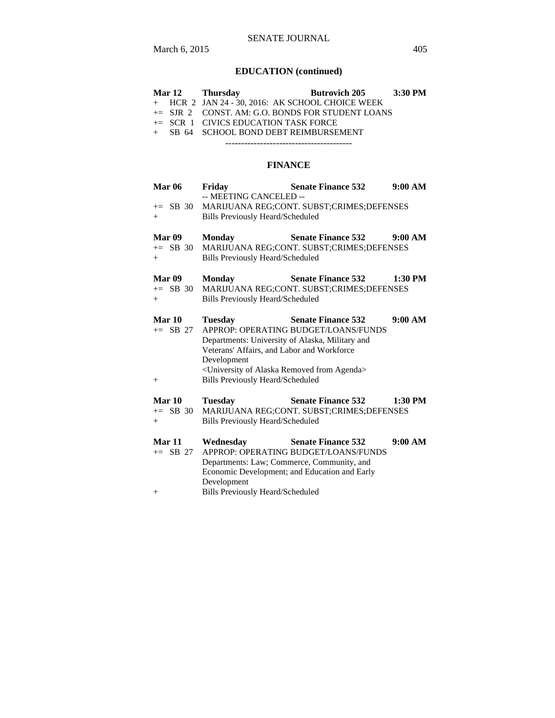### SENATE JOURNAL

# **EDUCATION (continued)**

|  | Mar 12 Thursday                                     | Butrovich 205 3:30 PM |  |
|--|-----------------------------------------------------|-----------------------|--|
|  | $+$ HCR 2 JAN 24 - 30, 2016: AK SCHOOL CHOICE WEEK  |                       |  |
|  | $\pm$ SJR 2 CONST. AM: G.O. BONDS FOR STUDENT LOANS |                       |  |
|  | $\pm$ SCR 1 CIVICS EDUCATION TASK FORCE             |                       |  |
|  | + SB 64 SCHOOL BOND DEBT REIMBURSEMENT              |                       |  |
|  |                                                     |                       |  |

### **FINANCE**

| <b>Mar 06</b>                  | Fridav<br>-- MEETING CANCELED --                                                                                                                                                                                                                     | <b>Senate Finance 532</b>                                                                                          | 9:00 AM   |
|--------------------------------|------------------------------------------------------------------------------------------------------------------------------------------------------------------------------------------------------------------------------------------------------|--------------------------------------------------------------------------------------------------------------------|-----------|
| $\pm$ SB 30<br>$^{+}$          | <b>Bills Previously Heard/Scheduled</b>                                                                                                                                                                                                              | MARIJUANA REG;CONT. SUBST;CRIMES;DEFENSES                                                                          |           |
| Mar 09<br>$+=$ SB 30<br>$^{+}$ | <b>Monday</b><br><b>Bills Previously Heard/Scheduled</b>                                                                                                                                                                                             | <b>Senate Finance 532</b><br>MARIJUANA REG;CONT. SUBST;CRIMES;DEFENSES                                             | 9:00 AM   |
| Mar 09<br>$+=$ SB 30<br>$^{+}$ | <b>Monday</b><br><b>Bills Previously Heard/Scheduled</b>                                                                                                                                                                                             | <b>Senate Finance 532</b><br>MARIJUANA REG;CONT. SUBST;CRIMES;DEFENSES                                             | 1:30 PM   |
| Mar 10<br>$+=$ SB 27<br>$^{+}$ | <b>Tuesday</b><br>Departments: University of Alaska, Military and<br>Veterans' Affairs, and Labor and Workforce<br>Development<br><university agenda="" alaska="" from="" of="" removed=""><br/><b>Bills Previously Heard/Scheduled</b></university> | <b>Senate Finance 532</b><br>APPROP: OPERATING BUDGET/LOANS/FUNDS                                                  | 9:00 AM   |
| Mar 10<br>$+=$ SB 30<br>$^{+}$ | <b>Tuesday</b><br><b>Bills Previously Heard/Scheduled</b>                                                                                                                                                                                            | <b>Senate Finance 532</b><br>MARIJUANA REG;CONT. SUBST;CRIMES;DEFENSES                                             | $1:30$ PM |
| Mar 11<br>$+=$ SB 27<br>$^{+}$ | Wednesday<br>Departments: Law; Commerce, Community, and<br>Development<br><b>Bills Previously Heard/Scheduled</b>                                                                                                                                    | <b>Senate Finance 532</b><br>APPROP: OPERATING BUDGET/LOANS/FUNDS<br>Economic Development; and Education and Early | 9:00 AM   |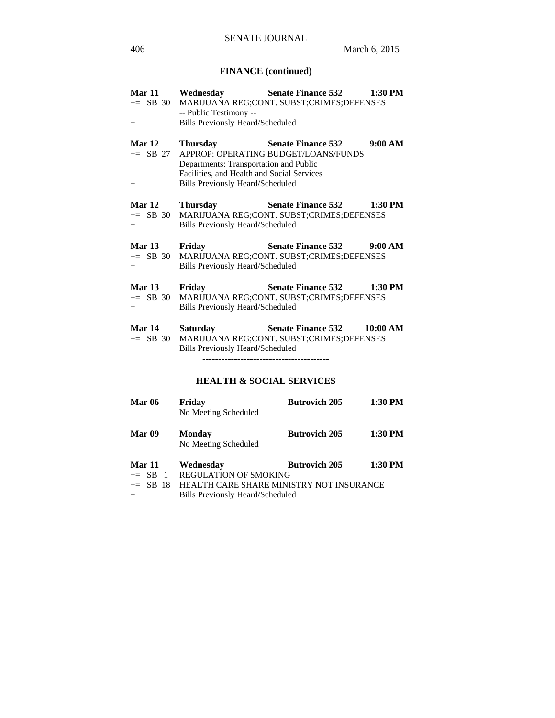### **FINANCE (continued)**

| <b>Mar 11</b><br>$+$                  | Wednesday<br>-- Public Testimony --<br><b>Bills Previously Heard/Scheduled</b>                                                              | <b>Senate Finance 532</b><br>+= SB 30 MARIJUANA REG;CONT. SUBST;CRIMES;DEFENSES            | 1:30 PM   |
|---------------------------------------|---------------------------------------------------------------------------------------------------------------------------------------------|--------------------------------------------------------------------------------------------|-----------|
| <b>Mar 12</b><br>$+=$ SB 27<br>$^{+}$ | Thursday<br>Departments: Transportation and Public<br>Facilities, and Health and Social Services<br><b>Bills Previously Heard/Scheduled</b> | <b>Senate Finance 532</b><br>APPROP: OPERATING BUDGET/LOANS/FUNDS                          | 9:00 AM   |
| <b>Mar 12</b><br>$+=$ SB 30<br>$+$    | Thursday<br><b>Bills Previously Heard/Scheduled</b>                                                                                         | <b>Senate Finance 532</b><br>MARIJUANA REG;CONT. SUBST;CRIMES;DEFENSES                     | $1:30$ PM |
| <b>Mar 13</b><br>$+=$ SB 30<br>$+$    | Friday<br><b>Bills Previously Heard/Scheduled</b>                                                                                           | <b>Senate Finance 532</b><br>MARIJUANA REG;CONT. SUBST;CRIMES;DEFENSES                     | 9:00 AM   |
| <b>Mar 13</b><br>$\pm$ SB 30<br>$+$   | Friday<br><b>Bills Previously Heard/Scheduled</b>                                                                                           | <b>Senate Finance 532</b><br>MARIJUANA REG;CONT. SUBST;CRIMES;DEFENSES                     | 1:30 PM   |
| <b>Mar 14</b><br>$+=$ SB 30<br>$+$    | <b>Saturday</b><br><b>Bills Previously Heard/Scheduled</b>                                                                                  | <b>Senate Finance 532</b><br>MARIJUANA REG;CONT. SUBST;CRIMES;DEFENSES<br>---------------- | 10:00 AM  |
|                                       | <b>HEALTH &amp; SOCIAL SERVICES</b>                                                                                                         |                                                                                            |           |

Mar 06 Friday Butrovich 205 1:30 PM

**Mar 09 Monday Butrovich 205 1:30 PM** 

Mar 11 Wednesday Butrovich 205 1:30 PM<br>+= SB 1 REGULATION OF SMOKING

+= SB 18 HEALTH CARE SHARE MINISTRY NOT INSURANCE

No Meeting Scheduled

No Meeting Scheduled

+ Bills Previously Heard/Scheduled

REGULATION OF SMOKING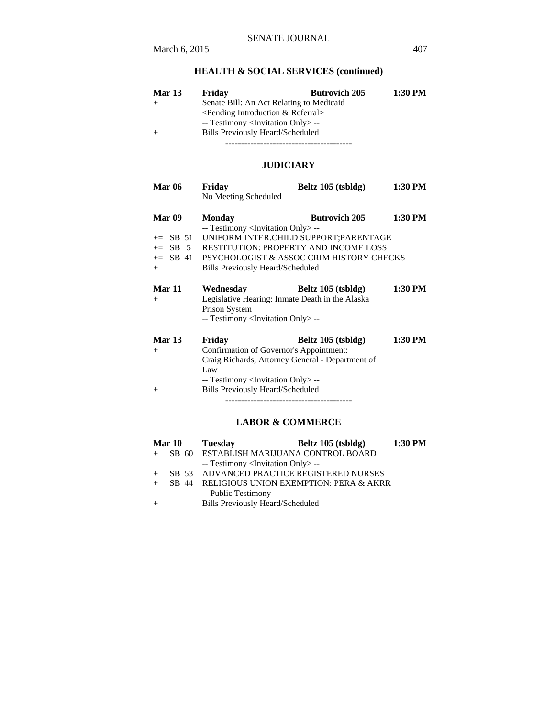# **HEALTH & SOCIAL SERVICES (continued)**

| <b>Mar 13</b> | Friday                                            | <b>Butrovich 205</b>                     | 1:30 PM |  |
|---------------|---------------------------------------------------|------------------------------------------|---------|--|
|               |                                                   | Senate Bill: An Act Relating to Medicaid |         |  |
|               | $\leq$ Pending Introduction & Referral $>$        |                                          |         |  |
|               | -- Testimony <invitation only=""> --</invitation> |                                          |         |  |
|               | Bills Previously Heard/Scheduled                  |                                          |         |  |
|               |                                                   |                                          |         |  |

**JUDICIARY**

| <b>Mar 06</b>     | Friday                                            | Beltz 105 (tsbldg)                           | 1:30 PM   |
|-------------------|---------------------------------------------------|----------------------------------------------|-----------|
|                   | No Meeting Scheduled                              |                                              |           |
| Mar <sub>09</sub> | Monday                                            | <b>Butrovich 205</b>                         | $1:30$ PM |
|                   | -- Testimony <invitation only=""> --</invitation> |                                              |           |
| $+=$ SB 51        |                                                   | UNIFORM INTER.CHILD SUPPORT: PARENTAGE       |           |
| $+=$ SB 5         |                                                   | <b>RESTITUTION: PROPERTY AND INCOME LOSS</b> |           |
| $+=$ SB 41        |                                                   | PSYCHOLOGIST & ASSOC CRIM HISTORY CHECKS     |           |
| $+$               | Bills Previously Heard/Scheduled                  |                                              |           |
|                   |                                                   |                                              |           |
| Mar 11            | Wednesday                                         | Beltz 105 (tsbldg)                           | $1:30$ PM |
| $^{+}$            | Legislative Hearing: Inmate Death in the Alaska   |                                              |           |
|                   | Prison System                                     |                                              |           |
|                   | -- Testimony <invitation only=""> --</invitation> |                                              |           |
| Mar 13            | Friday                                            | Beltz 105 (tsbldg)                           | 1:30 PM   |
| $^{+}$            | Confirmation of Governor's Appointment:           |                                              |           |
|                   | Craig Richards, Attorney General - Department of  |                                              |           |
|                   | Law                                               |                                              |           |
|                   | -- Testimony <invitation only=""> --</invitation> |                                              |           |
| $^{+}$            | <b>Bills Previously Heard/Scheduled</b>           |                                              |           |
|                   |                                                   |                                              |           |

## **LABOR & COMMERCE**

| <b>Mar 10</b> | <b>Tuesday</b>                                    | Beltz 105 (tsbldg) | $1:30$ PM |
|---------------|---------------------------------------------------|--------------------|-----------|
|               | SB 60 ESTABLISH MARIJUANA CONTROL BOARD           |                    |           |
|               | -- Testimony <invitation only=""> --</invitation> |                    |           |
|               | SB 53 ADVANCED PRACTICE REGISTERED NURSES         |                    |           |
|               | SB 44 RELIGIOUS UNION EXEMPTION: PERA & AKRR      |                    |           |
|               | -- Public Testimony --                            |                    |           |
|               | <b>Bills Previously Heard/Scheduled</b>           |                    |           |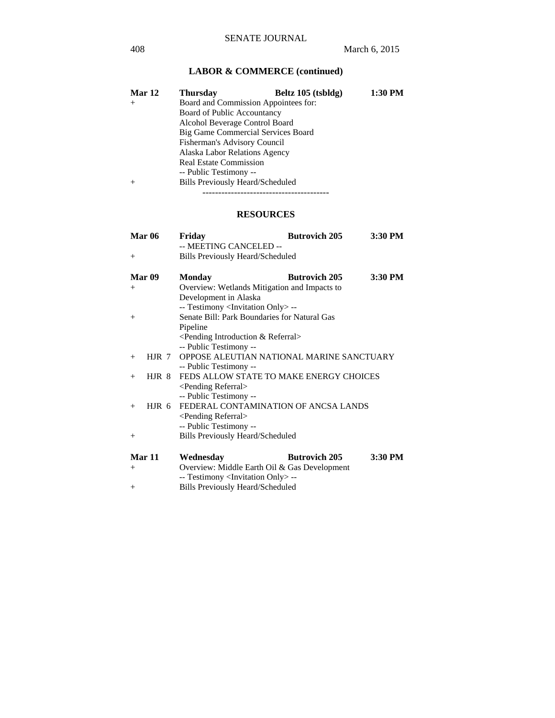# **LABOR & COMMERCE (continued)**

| Mar 12 | <b>Thursday</b>                      | Beltz 105 (tsbldg) | 1:30 PM |  |  |
|--------|--------------------------------------|--------------------|---------|--|--|
| $+$    | Board and Commission Appointees for: |                    |         |  |  |
|        | <b>Board of Public Accountancy</b>   |                    |         |  |  |
|        | Alcohol Beverage Control Board       |                    |         |  |  |
|        | Big Game Commercial Services Board   |                    |         |  |  |
|        | Fisherman's Advisory Council         |                    |         |  |  |
|        | Alaska Labor Relations Agency        |                    |         |  |  |
|        | <b>Real Estate Commission</b>        |                    |         |  |  |
|        | -- Public Testimony --               |                    |         |  |  |
| $^{+}$ | Bills Previously Heard/Scheduled     |                    |         |  |  |
|        |                                      |                    |         |  |  |

## **RESOURCES**

|        | <b>Mar 06</b> | Friday                                            | <b>Butrovich 205</b> | 3:30 PM |
|--------|---------------|---------------------------------------------------|----------------------|---------|
|        |               | -- MEETING CANCELED --                            |                      |         |
| $^{+}$ |               | <b>Bills Previously Heard/Scheduled</b>           |                      |         |
|        | Mar 09        | <b>Monday</b>                                     | <b>Butrovich 205</b> | 3:30 PM |
| $^{+}$ |               | Overview: Wetlands Mitigation and Impacts to      |                      |         |
|        |               | Development in Alaska                             |                      |         |
|        |               | -- Testimony <invitation only=""> --</invitation> |                      |         |
| $+$    |               | Senate Bill: Park Boundaries for Natural Gas      |                      |         |
|        |               | Pipeline                                          |                      |         |
|        |               | $\leq$ Pending Introduction & Referral $>$        |                      |         |
|        |               | -- Public Testimony --                            |                      |         |
| $+$    | HJR 7         | OPPOSE ALEUTIAN NATIONAL MARINE SANCTUARY         |                      |         |
|        |               | -- Public Testimony --                            |                      |         |
| $+$    |               | HJR 8 FEDS ALLOW STATE TO MAKE ENERGY CHOICES     |                      |         |
|        |               | <pending referral=""></pending>                   |                      |         |
|        |               | -- Public Testimony --                            |                      |         |
| $+$    | $HJR$ 6       | FEDERAL CONTAMINATION OF ANCSA LANDS              |                      |         |
|        |               | <pending referral=""></pending>                   |                      |         |
|        |               | -- Public Testimony --                            |                      |         |
| $^{+}$ |               | <b>Bills Previously Heard/Scheduled</b>           |                      |         |
|        | Mar 11        | Wednesday                                         | <b>Butrovich 205</b> | 3:30 PM |
| $^{+}$ |               | Overview: Middle Earth Oil & Gas Development      |                      |         |
|        |               | -- Testimony <invitation only=""> --</invitation> |                      |         |
| $^{+}$ |               | <b>Bills Previously Heard/Scheduled</b>           |                      |         |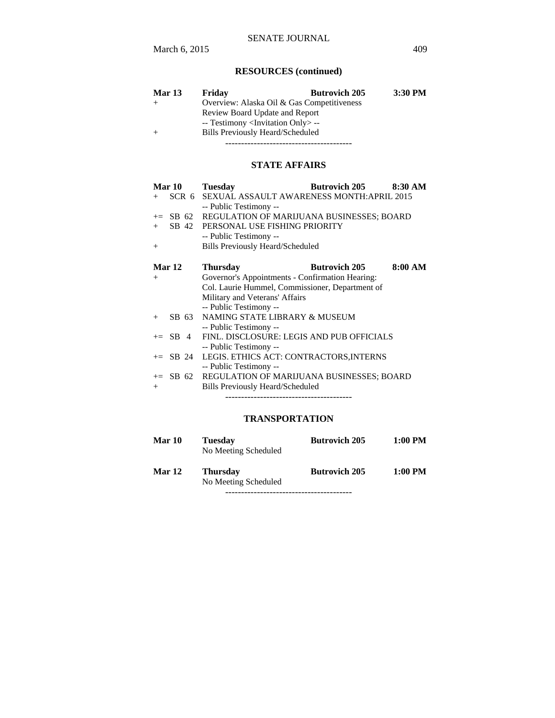# **RESOURCES (continued)**

| <b>Mar 13</b> | Friday                                            | <b>Butrovich 205</b> | 3:30 PM |  |  |
|---------------|---------------------------------------------------|----------------------|---------|--|--|
|               | Overview: Alaska Oil & Gas Competitiveness        |                      |         |  |  |
|               | Review Board Update and Report                    |                      |         |  |  |
|               | -- Testimony <invitation only=""> --</invitation> |                      |         |  |  |
|               | <b>Bills Previously Heard/Scheduled</b>           |                      |         |  |  |
|               |                                                   |                      |         |  |  |

### **STATE AFFAIRS**

| Mar 10     | <b>Tuesday</b>                                     | <b>Butrovich 205</b> | 8:30 AM |
|------------|----------------------------------------------------|----------------------|---------|
| $+$        | SCR 6 SEXUAL ASSAULT AWARENESS MONTH:APRIL 2015    |                      |         |
|            | -- Public Testimony --                             |                      |         |
|            | += SB 62 REGULATION OF MARIJUANA BUSINESSES; BOARD |                      |         |
| $+$        | SB 42 PERSONAL USE FISHING PRIORITY                |                      |         |
|            | -- Public Testimony --                             |                      |         |
| $+$        | <b>Bills Previously Heard/Scheduled</b>            |                      |         |
|            |                                                    |                      |         |
| Mar 12     | <b>Thursday</b>                                    | <b>Butrovich 205</b> | 8:00 AM |
| $+$        | Governor's Appointments - Confirmation Hearing:    |                      |         |
|            | Col. Laurie Hummel, Commissioner, Department of    |                      |         |
|            | Military and Veterans' Affairs                     |                      |         |
|            | -- Public Testimony --                             |                      |         |
| $+$        | SB 63 NAMING STATE LIBRARY & MUSEUM                |                      |         |
|            | -- Public Testimony --                             |                      |         |
| $\pm$ SB 4 | FINL. DISCLOSURE: LEGIS AND PUB OFFICIALS          |                      |         |
|            | -- Public Testimony --                             |                      |         |
|            | += SB 24 LEGIS. ETHICS ACT: CONTRACTORS, INTERNS   |                      |         |
|            | -- Public Testimony --                             |                      |         |
|            | += SB 62 REGULATION OF MARIJUANA BUSINESSES; BOARD |                      |         |
| $+$        | Bills Previously Heard/Scheduled                   |                      |         |
|            |                                                    |                      |         |

# **TRANSPORTATION**

| Mar 10 | <b>Tuesday</b><br>No Meeting Scheduled  | <b>Butrovich 205</b> | 1:00 PM |
|--------|-----------------------------------------|----------------------|---------|
| Mar 12 | <b>Thursday</b><br>No Meeting Scheduled | <b>Butrovich 205</b> | 1:00 PM |

----------------------------------------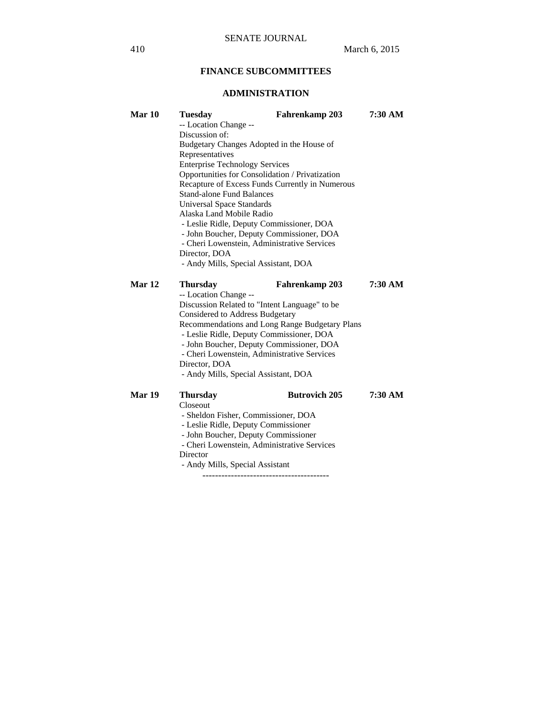# **FINANCE SUBCOMMITTEES**

# **ADMINISTRATION**

| Mar 10        | <b>Tuesday</b><br>-- Location Change --                                                  | Fahrenkamp 203                                  | 7:30 AM |  |  |
|---------------|------------------------------------------------------------------------------------------|-------------------------------------------------|---------|--|--|
|               | Discussion of:                                                                           |                                                 |         |  |  |
|               | Budgetary Changes Adopted in the House of                                                |                                                 |         |  |  |
|               | Representatives                                                                          |                                                 |         |  |  |
|               | <b>Enterprise Technology Services</b><br>Opportunities for Consolidation / Privatization |                                                 |         |  |  |
|               |                                                                                          | Recapture of Excess Funds Currently in Numerous |         |  |  |
|               | <b>Stand-alone Fund Balances</b>                                                         |                                                 |         |  |  |
|               | <b>Universal Space Standards</b>                                                         |                                                 |         |  |  |
|               | Alaska Land Mobile Radio                                                                 |                                                 |         |  |  |
|               | - Leslie Ridle, Deputy Commissioner, DOA                                                 |                                                 |         |  |  |
|               | - John Boucher, Deputy Commissioner, DOA                                                 |                                                 |         |  |  |
|               | - Cheri Lowenstein, Administrative Services                                              |                                                 |         |  |  |
|               | Director, DOA                                                                            |                                                 |         |  |  |
|               | - Andy Mills, Special Assistant, DOA                                                     |                                                 |         |  |  |
| Mar 12        | <b>Thursday</b>                                                                          | Fahrenkamp 203                                  | 7:30 AM |  |  |
|               | -- Location Change --                                                                    |                                                 |         |  |  |
|               |                                                                                          | Discussion Related to "Intent Language" to be   |         |  |  |
|               | <b>Considered to Address Budgetary</b>                                                   |                                                 |         |  |  |
|               |                                                                                          | Recommendations and Long Range Budgetary Plans  |         |  |  |
|               |                                                                                          | - Leslie Ridle, Deputy Commissioner, DOA        |         |  |  |
|               |                                                                                          | - John Boucher, Deputy Commissioner, DOA        |         |  |  |
|               | - Cheri Lowenstein, Administrative Services                                              |                                                 |         |  |  |
|               | Director, DOA                                                                            |                                                 |         |  |  |
|               | - Andy Mills, Special Assistant, DOA                                                     |                                                 |         |  |  |
| <b>Mar 19</b> | <b>Thursday</b>                                                                          | <b>Butrovich 205</b>                            | 7:30 AM |  |  |
|               | Closeout                                                                                 |                                                 |         |  |  |
|               | - Sheldon Fisher, Commissioner, DOA                                                      |                                                 |         |  |  |
|               | - Leslie Ridle, Deputy Commissioner                                                      |                                                 |         |  |  |
|               | - John Boucher, Deputy Commissioner                                                      |                                                 |         |  |  |
|               | - Cheri Lowenstein, Administrative Services                                              |                                                 |         |  |  |
|               | Director                                                                                 |                                                 |         |  |  |

- Andy Mills, Special Assistant

----------------------------------------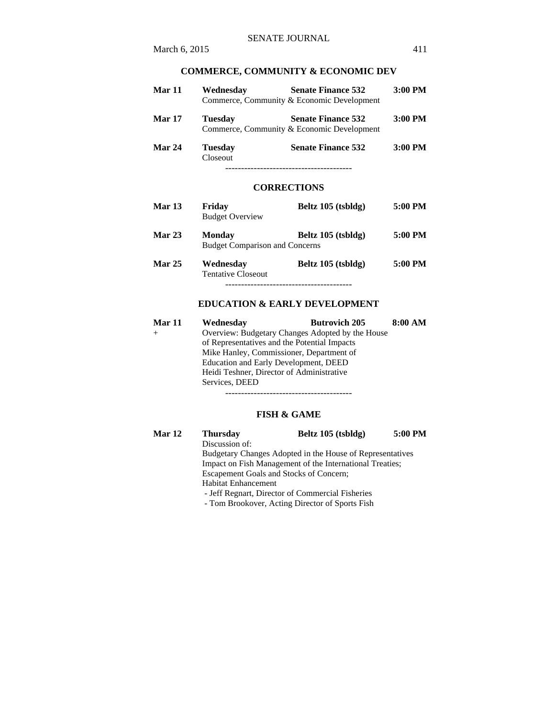# **Mar 11 Wednesday Senate Finance 532 3:00 PM**  Commerce, Community & Economic Development **Mar 17 Tuesday Senate Finance 532 3:00 PM**  Commerce, Community & Economic Development **Mar 24 Tuesday Senate Finance 532 3:00 PM**  Closeout ----------------------------------------

### **CORRECTIONS**

| <b>Mar 13</b> | Friday<br><b>Budget Overview</b>                       | Beltz 105 (tsbldg)   | 5:00 PM |
|---------------|--------------------------------------------------------|----------------------|---------|
| Mar 23        | <b>Monday</b><br><b>Budget Comparison and Concerns</b> | Beltz 105 (tsbldg)   | 5:00 PM |
| <b>Mar 25</b> | Wednesday<br><b>Tentative Closeout</b>                 | Beltz $105$ (tsbldg) | 5:00 PM |

----------------------------------------

### **EDUCATION & EARLY DEVELOPMENT**

| <b>Mar 11</b>                                                                            | Wednesday                                        | <b>Butrovich 205</b> | 8:00 AM |  |                                       |
|------------------------------------------------------------------------------------------|--------------------------------------------------|----------------------|---------|--|---------------------------------------|
|                                                                                          | Overview: Budgetary Changes Adopted by the House |                      |         |  |                                       |
| of Representatives and the Potential Impacts<br>Mike Hanley, Commissioner, Department of |                                                  |                      |         |  |                                       |
|                                                                                          |                                                  |                      |         |  | Education and Early Development, DEED |
|                                                                                          | Heidi Teshner, Director of Administrative        |                      |         |  |                                       |
|                                                                                          | Services, DEED                                   |                      |         |  |                                       |
|                                                                                          |                                                  |                      |         |  |                                       |

### **FISH & GAME**

| <b>Mar 12</b> | <b>Thursday</b>                                           | Beltz 105 (tsbldg) | 5:00 PM |  |
|---------------|-----------------------------------------------------------|--------------------|---------|--|
|               | Discussion of:                                            |                    |         |  |
|               | Budgetary Changes Adopted in the House of Representatives |                    |         |  |
|               | Impact on Fish Management of the International Treaties;  |                    |         |  |
|               | <b>Escapement Goals and Stocks of Concern;</b>            |                    |         |  |
|               | <b>Habitat Enhancement</b>                                |                    |         |  |
|               | - Jeff Regnart, Director of Commercial Fisheries          |                    |         |  |
|               |                                                           |                    |         |  |

- Tom Brookover, Acting Director of Sports Fish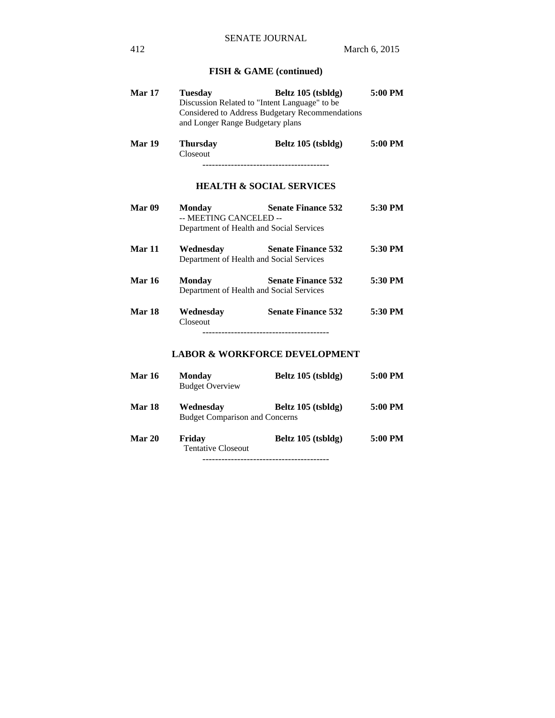# **FISH & GAME (continued)**

| <b>Mar 17</b> | <b>Tuesday</b><br>and Longer Range Budgetary plans | Beltz 105 (tsbldg)<br>Discussion Related to "Intent Language" to be<br>Considered to Address Budgetary Recommendations | 5:00 PM |
|---------------|----------------------------------------------------|------------------------------------------------------------------------------------------------------------------------|---------|
| <b>Mar 19</b> | <b>Thursday</b><br>Closeout                        | Beltz 105 (tsbldg)<br>--------------------------------------                                                           | 5:00 PM |
|               |                                                    | <b>HEALTH &amp; SOCIAL SERVICES</b>                                                                                    |         |
| Mar 09        | <b>Monday</b><br>-- MEETING CANCELED --            | <b>Senate Finance 532</b><br>Department of Health and Social Services                                                  | 5:30 PM |
| <b>Mar 11</b> | Wednesday                                          | <b>Senate Finance 532</b><br>Department of Health and Social Services                                                  | 5:30 PM |
| <b>Mar 16</b> | <b>Monday</b>                                      | <b>Senate Finance 532</b><br>Department of Health and Social Services                                                  | 5:30 PM |
| <b>Mar 18</b> | Wednesday<br>Closeout                              | <b>Senate Finance 532</b>                                                                                              | 5:30 PM |
|               |                                                    | <b>LABOR &amp; WORKFORCE DEVELOPMENT</b>                                                                               |         |
| <b>Mar 16</b> | <b>Monday</b><br><b>Budget Overview</b>            | Beltz 105 (tsbldg)                                                                                                     | 5:00 PM |
| Mar 18        | Wednesday<br><b>Budget Comparison and Concerns</b> | Beltz 105 (tsbldg)                                                                                                     | 5:00 PM |

Tentative Closeout

----------------------------------------

**Mar 20 Friday Beltz 105 (tsbldg) 5:00 PM**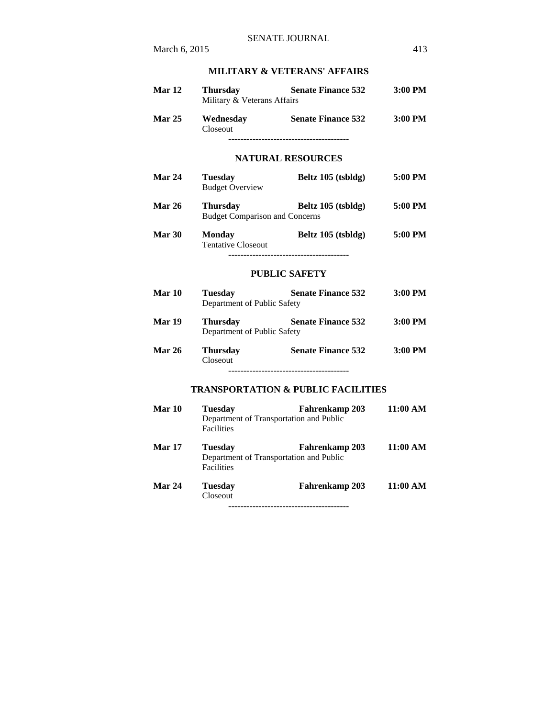# **MILITARY & VETERANS' AFFAIRS**

|               |                                                                                | MILITARY & VETERANS' AFFAIRS                                                           |          |
|---------------|--------------------------------------------------------------------------------|----------------------------------------------------------------------------------------|----------|
| Mar 12        | <b>Thursday</b><br>Military & Veterans Affairs                                 | <b>Senate Finance 532</b>                                                              | 3:00 PM  |
| Mar $25$      | Closeout                                                                       | Wednesday Senate Finance 532                                                           | 3:00 PM  |
|               |                                                                                | <b>NATURAL RESOURCES</b>                                                               |          |
| Mar 24        | <b>Tuesday</b><br><b>Budget Overview</b>                                       | Beltz 105 (tsbldg)                                                                     | 5:00 PM  |
| Mar 26        | <b>Thursday</b><br><b>Budget Comparison and Concerns</b>                       | Beltz 105 (tsbldg)                                                                     | 5:00 PM  |
| Mar 30        | <b>Monday</b><br><b>Tentative Closeout</b>                                     | Beltz 105 (tsbldg)                                                                     | 5:00 PM  |
|               |                                                                                | <b>PUBLIC SAFETY</b>                                                                   |          |
| Mar 10        | <b>Tuesday</b><br>Department of Public Safety                                  | <b>Senate Finance 532</b>                                                              | 3:00 PM  |
| <b>Mar 19</b> | <b>Thursday</b><br>Department of Public Safety                                 | <b>Senate Finance 532</b>                                                              | 3:00 PM  |
| Mar 26        | <b>Thursday</b><br>Closeout                                                    | <b>Senate Finance 532</b>                                                              | 3:00 PM  |
|               |                                                                                | -------------------------------------<br><b>TRANSPORTATION &amp; PUBLIC FACILITIES</b> |          |
| Mar 10        | <b>Tuesday</b><br>Department of Transportation and Public<br><b>Facilities</b> | Fahrenkamp 203                                                                         | 11:00 AM |
| <b>Mar 17</b> | <b>Tuesday</b><br>Department of Transportation and Public<br><b>Facilities</b> | <b>Fahrenkamp 203</b>                                                                  | 11:00 AM |
| Mar 24        | <b>Tuesday</b><br>Closeout                                                     | <b>Fahrenkamp 203</b>                                                                  | 11:00 AM |

----------------------------------------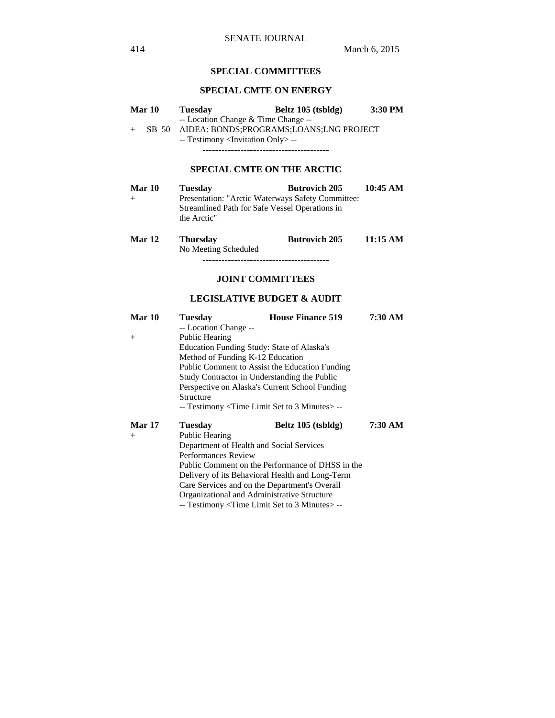## **SPECIAL COMMITTEES**

## **SPECIAL CMTE ON ENERGY**

| Mar 10<br>$+$    | <b>Tuesday</b><br>-- Location Change & Time Change --<br>-- Testimony <invitation only=""> --</invitation>                                                                                                                                                                                                    | Beltz 105 (tsbldg)<br>SB 50 AIDEA: BONDS;PROGRAMS;LOANS;LNG PROJECT                                                                                                                                                                                                                                                                | $3:30$ PM |
|------------------|---------------------------------------------------------------------------------------------------------------------------------------------------------------------------------------------------------------------------------------------------------------------------------------------------------------|------------------------------------------------------------------------------------------------------------------------------------------------------------------------------------------------------------------------------------------------------------------------------------------------------------------------------------|-----------|
|                  |                                                                                                                                                                                                                                                                                                               | <b>SPECIAL CMTE ON THE ARCTIC</b>                                                                                                                                                                                                                                                                                                  |           |
| Mar 10<br>$^{+}$ | <b>Tuesday</b><br>Streamlined Path for Safe Vessel Operations in<br>the Arctic"                                                                                                                                                                                                                               | <b>Butrovich 205</b><br>Presentation: "Arctic Waterways Safety Committee:                                                                                                                                                                                                                                                          | 10:45 AM  |
| <b>Mar 12</b>    | <b>Thursday</b><br>No Meeting Scheduled                                                                                                                                                                                                                                                                       | <b>Butrovich 205</b>                                                                                                                                                                                                                                                                                                               | 11:15 AM  |
|                  |                                                                                                                                                                                                                                                                                                               | <b>JOINT COMMITTEES</b>                                                                                                                                                                                                                                                                                                            |           |
|                  |                                                                                                                                                                                                                                                                                                               | <b>LEGISLATIVE BUDGET &amp; AUDIT</b>                                                                                                                                                                                                                                                                                              |           |
| Mar 10<br>$+$    | <b>Tuesday</b><br>-- Location Change --<br>Public Hearing<br>Education Funding Study: State of Alaska's<br>Method of Funding K-12 Education<br>Study Contractor in Understanding the Public<br>Perspective on Alaska's Current School Funding<br>Structure<br>-- Testimony < Time Limit Set to 3 Minutes > -- | <b>House Finance 519</b><br>Public Comment to Assist the Education Funding                                                                                                                                                                                                                                                         | 7:30 AM   |
|                  |                                                                                                                                                                                                                                                                                                               | $\mathbf{r}$ $\mathbf{r}$ $\mathbf{r}$ $\mathbf{r}$ $\mathbf{r}$ $\mathbf{r}$ $\mathbf{r}$ $\mathbf{r}$ $\mathbf{r}$ $\mathbf{r}$ $\mathbf{r}$ $\mathbf{r}$ $\mathbf{r}$ $\mathbf{r}$ $\mathbf{r}$ $\mathbf{r}$ $\mathbf{r}$ $\mathbf{r}$ $\mathbf{r}$ $\mathbf{r}$ $\mathbf{r}$ $\mathbf{r}$ $\mathbf{r}$ $\mathbf{r}$ $\mathbf{$ |           |

| <b>Mar 17</b> | <b>Tuesday</b>                                   | Beltz 105 (tsbldg) | 7:30 AM |  |
|---------------|--------------------------------------------------|--------------------|---------|--|
| $+$           | <b>Public Hearing</b>                            |                    |         |  |
|               | Department of Health and Social Services         |                    |         |  |
|               | <b>Performances Review</b>                       |                    |         |  |
|               | Public Comment on the Performance of DHSS in the |                    |         |  |
|               | Delivery of its Behavioral Health and Long-Term  |                    |         |  |
|               | Care Services and on the Department's Overall    |                    |         |  |
|               | Organizational and Administrative Structure      |                    |         |  |
|               | -- Testimony < Time Limit Set to 3 Minutes > --  |                    |         |  |
|               |                                                  |                    |         |  |